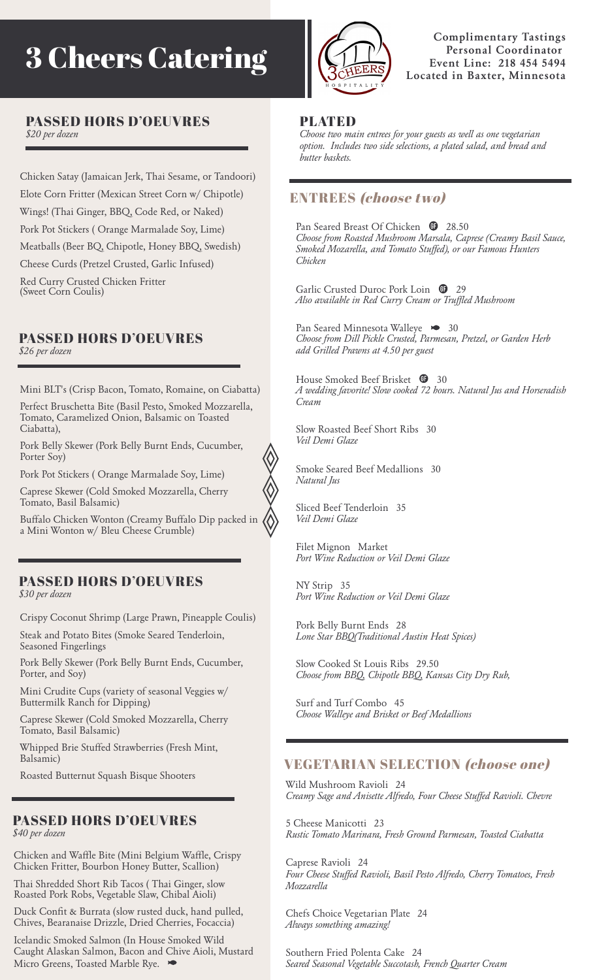# 3 Cheers Catering



**Complimentary Tastings Personal Coordinator Event Line: 218 454 5494 Located in Baxter, Minnesota**

# PASSED HORS D'OEUVRES

*\$20 per dozen*

Chicken Satay (Jamaican Jerk, Thai Sesame, or Tandoori) Elote Corn Fritter (Mexican Street Corn w/ Chipotle) Wings! (Thai Ginger, BBQ, Code Red, or Naked) Pork Pot Stickers ( Orange Marmalade Soy, Lime) Meatballs (Beer BQ, Chipotle, Honey BBQ, Swedish) Cheese Curds (Pretzel Crusted, Garlic Infused) Red Curry Crusted Chicken Fritter (Sweet Corn Coulis)

### PASSED HORS D'OEUVRES *\$26 per dozen*

Mini BLT's (Crisp Bacon, Tomato, Romaine, on Ciabatta)

Perfect Bruschetta Bite (Basil Pesto, Smoked Mozzarella, Tomato, Caramelized Onion, Balsamic on Toasted Ciabatta),

Pork Belly Skewer (Pork Belly Burnt Ends, Cucumber, Porter Soy)

Pork Pot Stickers ( Orange Marmalade Soy, Lime)

Caprese Skewer (Cold Smoked Mozzarella, Cherry Tomato, Basil Balsamic)

Buffalo Chicken Wonton (Creamy Buffalo Dip packed in a Mini Wonton w/ Bleu Cheese Crumble)

### PASSED HORS D'OEUVRES

*\$30 per dozen*

Crispy Coconut Shrimp (Large Prawn, Pineapple Coulis)

Steak and Potato Bites (Smoke Seared Tenderloin, Seasoned Fingerlings

Pork Belly Skewer (Pork Belly Burnt Ends, Cucumber, Porter, and Soy)

Mini Crudite Cups (variety of seasonal Veggies w/ Buttermilk Ranch for Dipping)

Caprese Skewer (Cold Smoked Mozzarella, Cherry Tomato, Basil Balsamic)

Whipped Brie Stuffed Strawberries (Fresh Mint, Balsamic)

Roasted Butternut Squash Bisque Shooters

## PASSED HORS D'OEUVRES

*\$40 per dozen*

Chicken and Waffle Bite (Mini Belgium Waffle, Crispy Chicken Fritter, Bourbon Honey Butter, Scallion)

Thai Shredded Short Rib Tacos ( Thai Ginger, slow Roasted Pork Robs, Vegetable Slaw, Chibal Aioli)

Duck Confit & Burrata (slow rusted duck, hand pulled, Chives, Bearanaise Drizzle, Dried Cherries, Focaccia)

Icelandic Smoked Salmon (In House Smoked Wild Caught Alaskan Salmon, Bacon and Chive Aioli, Mustard Micro Greens, Toasted Marble Rye.

### PLATED

*Choose two main entrees for your guests as well as one vegetarian option. Includes two side selections, a plated salad, and bread and butter baskets.*

### ENTREES (choose two)

Pan Seared Breast Of Chicken  $\bullet$  28.50 *Choose from Roasted Mushroom Marsala, Caprese (Creamy Basil Sauce, Smoked Mozarella, and Tomato Stuffed), or our Famous Hunters Chicken*

Garlic Crusted Duroc Pork Loin  $\bullet$  29 *Also available in Red Curry Cream or Truffled Mushroom*

Pan Seared Minnesota Walleye  $\bullet$  30 *Choose from Dill Pickle Crusted, Parmesan, Pretzel, or Garden Herb add Grilled Prawns at 4.50 per guest*

House Smoked Beef Brisket  $\mathbf{\oplus}$  30 *A wedding favorite! Slow cooked 72 hours. Natural Jus and Horseradish Cream*

Slow Roasted Beef Short Ribs 30 *Veil Demi Glaze*

Smoke Seared Beef Medallions 30 *Natural Jus*

Sliced Beef Tenderloin 35 *Veil Demi Glaze*

Filet Mignon Market *Port Wine Reduction or Veil Demi Glaze*

NY Strip 35 *Port Wine Reduction or Veil Demi Glaze*

Pork Belly Burnt Ends 28 *Lone Star BBQ(Traditional Austin Heat Spices)*

Slow Cooked St Louis Ribs 29.50 *Choose from BBQ, Chipotle BBQ, Kansas City Dry Rub,*

Surf and Turf Combo 45 *Choose Walleye and Brisket or Beef Medallions*

### VEGETARIAN SELECTION (choose one)

Wild Mushroom Ravioli 24 *Creamy Sage and Anisette Alfredo, Four Cheese Stuffed Ravioli. Chevre*

5 Cheese Manicotti 23 *Rustic Tomato Marinara, Fresh Ground Parmesan, Toasted Ciabatta*

Caprese Ravioli 24 *Four Cheese Stuffed Ravioli, Basil Pesto Alfredo, Cherry Tomatoes, Fresh Mozzarella*

Chefs Choice Vegetarian Plate 24 *Always something amazing!*

Southern Fried Polenta Cake 24 *Seared Seasonal Vegetable Succotash, French Quarter Cream*

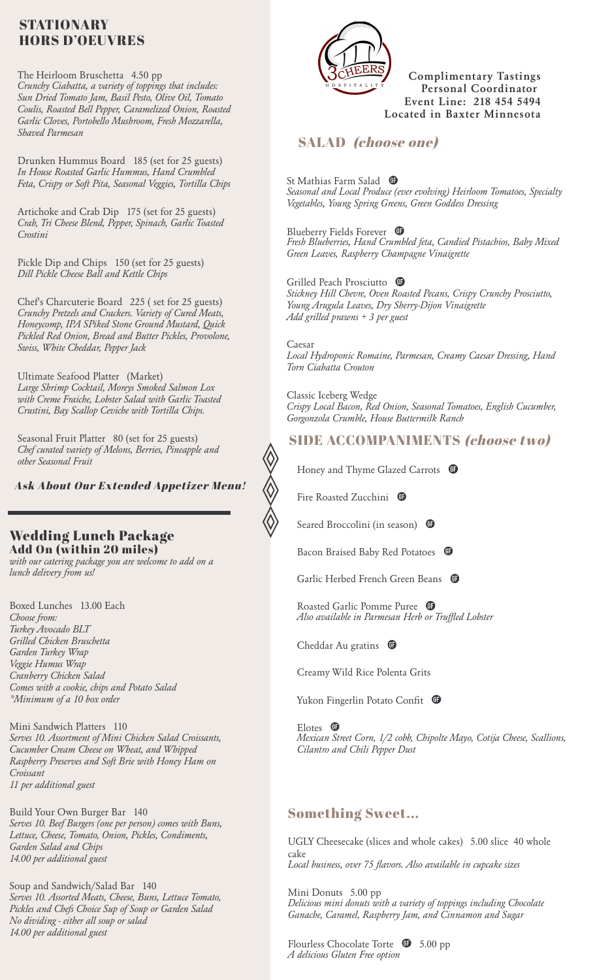### STATIONARY HORS D'OEUVRES

The Heirloom Bruschetta 4.50 pp *Crunchy Ciabatta, a variety of toppings that includes: Sun Dried Tomato Jam, Basil Pesto, Olive Oil, Tomato Coulis, Roasted Bell Pepper, Caramelized Onion, Roasted Garlic Cloves, Portobello Mushroom, Fresh Mozzarella, Shaved Parmesan*

Drunken Hummus Board 185 (set for 25 guests) *In House Roasted Garlic Hummus, Hand Crumbled Feta, Crispy or Soft Pita, Seasonal Veggies, Tortilla Chips*

Artichoke and Crab Dip 175 (set for 25 guests) *Crab, Tri Cheese Blend, Pepper, Spinach, Garlic Toasted Crostini*

Pickle Dip and Chips 150 (set for 25 guests) *Dill Pickle Cheese Ball and Kettle Chips*

Chef's Charcuterie Board 225 ( set for 25 guests) *Crunchy Pretzels and Crackers. Variety of Cured Meats, Honeycomp, IPA SPiked Stone Ground Mustard, Quick Pickled Red Onion, Bread and Butter Pickles, Provolone, Swiss, White Cheddar, Pepper Jack*

Ultimate Seafood Platter (Market) *Large Shrimp Cocktail, Moreys Smoked Salmon Lox with Creme Fraiche, Lobster Salad with Garlic Toasted Crustini, Bay Scallop Ceviche with Tortilla Chips.*

Seasonal Fruit Platter 80 (set for 25 guests) *Chef curated variety of Melons, Berries, Pineapple and other Seasonal Fruit*

Ask About Our Extended Appetizer Menu!

### Wedding Lunch Package Add On (within 20 miles)

*with our catering package you are welcome to add on a lunch delivery from us!*

Boxed Lunches 13.00 Each *Choose from: Turkey Avocado BLT Grilled Chicken Bruschetta Garden Turkey Wrap Veggie Humus Wrap Cranberry Chicken Salad Comes with a cookie, chips and Potato Salad \*Minimum of a 10 box order*

Mini Sandwich Platters 110 *Serves 10. Assortment of Mini Chicken Salad Croissants, Cucumber Cream Cheese on Wheat, and Whipped Raspberry Preserves and Soft Brie with Honey Ham on Croissant 11 per additional guest*

Build Your Own Burger Bar 140 *Serves 10. Beef Burgers (one per person) comes with Buns, Lettuce, Cheese, Tomato, Onion, Pickles, Condiments, Garden Salad and Chips 14.00 per additional guest*

Soup and Sandwich/Salad Bar 140 *Serves 10. Assorted Meats, Cheese, Buns, Lettuce Tomato, Pickles and Chefs Choice Sup of Soup or Garden Salad No dividing - either all soup or salad 14.00 per additional guest*



**Complimentary Tastings Personal Coordinator Event Line: 218 454 5494 Located in Baxter Minnesota**

### SALAD (choose one)

St Mathias Farm Salad *Seasonal and Local Produce (ever evolving) Heirloom Tomatoes, Specialty Vegetables, Young Spring Greens, Green Goddess Dressing*

Blueberry Fields Forever *Fresh Blueberries, Hand Crumbled feta, Candied Pistachios, Baby Mixed Green Leaves, Raspberry Champagne Vinaigrette*

Grilled Peach Prosciutto <sup>1</sup> *Stickney Hill Chevre, Oven Roasted Pecans, Crispy Crunchy Prosciutto, Young Arugula Leaves, Dry Sherry-Dijon Vinaigrette Add grilled prawns + 3 per guest*

Caesar *Local Hydroponic Romaine, Parmesan, Creamy Caesar Dressing, Hand Torn Ciabatta Crouton*

Classic Iceberg Wedge *Crispy Local Bacon, Red Onion, Seasonal Tomatoes, English Cucumber, Gorgonzola Crumble, House Buttermilk Ranch*

### SIDE ACCOMPANIMENTS (choose two)

Honey and Thyme Glazed Carrots  $\oplus$ 

Fire Roasted Zucchini  $\mathbf \mathbf \Phi$ 

Seared Broccolini (in season)  $\bullet$ 

Bacon Braised Baby Red Potatoes  $\mathbf \oplus$ 

Garlic Herbed French Green Beans

Roasted Garlic Pomme Puree *Also available in Parmesan Herb or Truffled Lobster*

Cheddar Au gratins  $\bullet$ 

Creamy Wild Rice Polenta Grits

Yukon Fingerlin Potato Confit

Elotes <sup>of</sup> *Mexican Street Corn, 1/2 cobb, Chipolte Mayo, Cotija Cheese, Scallions, Cilantro and Chili Pepper Dust*

### Something Sweet...

UGLY Cheesecake (slices and whole cakes) 5.00 slice 40 whole cake *Local business, over 75 flavors. Also available in cupcake sizes*

Mini Donuts 5.00 pp *Delicious mini donuts with a variety of toppings including Chocolate Ganache, Caramel, Raspberry Jam, and Cinnamon and Sugar*

Flourless Chocolate Torte  $\bullet$  5.00 pp *A delicious Gluten Free option*